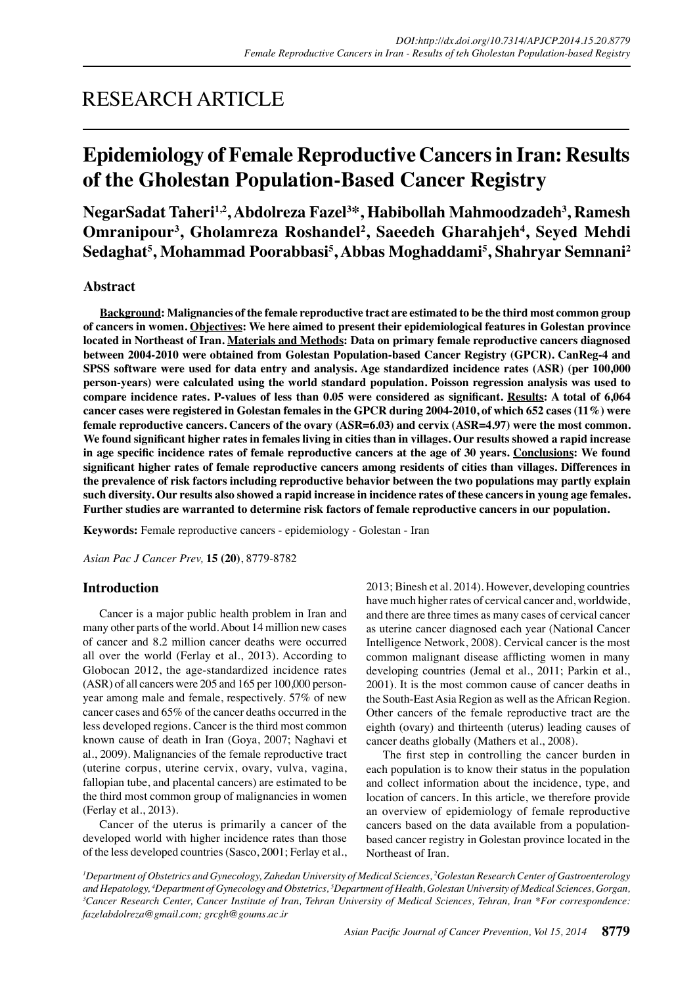## RESEARCH ARTICLE

# **Epidemiology of Female Reproductive Cancers in Iran: Results of the Gholestan Population-Based Cancer Registry**

**NegarSadat Taheri1,2, Abdolreza Fazel3 \*, Habibollah Mahmoodzadeh3 , Ramesh**  Omranipour<sup>3</sup>, Gholamreza Roshandel<sup>2</sup>, Saeedeh Gharahjeh<sup>4</sup>, Seyed Mehdi **Sedaghat5 , Mohammad Poorabbasi5 , Abbas Moghaddami5 , Shahryar Semnani2**

## **Abstract**

**Background: Malignancies of the female reproductive tract are estimated to be the third most common group of cancers in women. Objectives: We here aimed to present their epidemiological features in Golestan province located in Northeast of Iran. Materials and Methods: Data on primary female reproductive cancers diagnosed between 2004-2010 were obtained from Golestan Population-based Cancer Registry (GPCR). CanReg-4 and SPSS software were used for data entry and analysis. Age standardized incidence rates (ASR) (per 100,000 person-years) were calculated using the world standard population. Poisson regression analysis was used to**  compare incidence rates. P-values of less than 0.05 were considered as significant. Results: A total of 6,064 **cancer cases were registered in Golestan females in the GPCR during 2004-2010, of which 652 cases (11%) were female reproductive cancers. Cancers of the ovary (ASR=6.03) and cervix (ASR=4.97) were the most common. We found significant higher rates in females living in cities than in villages. Our results showed a rapid increase in age specific incidence rates of female reproductive cancers at the age of 30 years. Conclusions: We found significant higher rates of female reproductive cancers among residents of cities than villages. Differences in the prevalence of risk factors including reproductive behavior between the two populations may partly explain such diversity. Our results also showed a rapid increase in incidence rates of these cancers in young age females. Further studies are warranted to determine risk factors of female reproductive cancers in our population.**

**Keywords:** Female reproductive cancers - epidemiology - Golestan - Iran

*Asian Pac J Cancer Prev,* **15 (20)**, 8779-8782

## **Introduction**

Cancer is a major public health problem in Iran and many other parts of the world. About 14 million new cases of cancer and 8.2 million cancer deaths were occurred all over the world (Ferlay et al., 2013). According to Globocan 2012, the age-standardized incidence rates (ASR) of all cancers were 205 and 165 per 100,000 personyear among male and female, respectively. 57% of new cancer cases and 65% of the cancer deaths occurred in the less developed regions. Cancer is the third most common known cause of death in Iran (Goya, 2007; Naghavi et al., 2009). Malignancies of the female reproductive tract (uterine corpus, uterine cervix, ovary, vulva, vagina, fallopian tube, and placental cancers) are estimated to be the third most common group of malignancies in women (Ferlay et al., 2013).

Cancer of the uterus is primarily a cancer of the developed world with higher incidence rates than those of the less developed countries (Sasco, 2001; Ferlay et al., 2013; Binesh et al. 2014). However, developing countries have much higher rates of cervical cancer and, worldwide, and there are three times as many cases of cervical cancer as uterine cancer diagnosed each year (National Cancer Intelligence Network, 2008). Cervical cancer is the most common malignant disease afflicting women in many developing countries (Jemal et al., 2011; Parkin et al., 2001). It is the most common cause of cancer deaths in the South-East Asia Region as well as the African Region. Other cancers of the female reproductive tract are the eighth (ovary) and thirteenth (uterus) leading causes of cancer deaths globally (Mathers et al., 2008).

The first step in controlling the cancer burden in each population is to know their status in the population and collect information about the incidence, type, and location of cancers. In this article, we therefore provide an overview of epidemiology of female reproductive cancers based on the data available from a populationbased cancer registry in Golestan province located in the Northeast of Iran.

*1 Department of Obstetrics and Gynecology, Zahedan University of Medical Sciences, 2 Golestan Research Center of Gastroenterology and Hepatology, 4 Department of Gynecology and Obstetrics, 5 Department of Health, Golestan University of Medical Sciences, Gorgan, 3 Cancer Research Center, Cancer Institute of Iran, Tehran University of Medical Sciences, Tehran, Iran \*For correspondence: fazelabdolreza@gmail.com; grcgh@goums.ac.ir*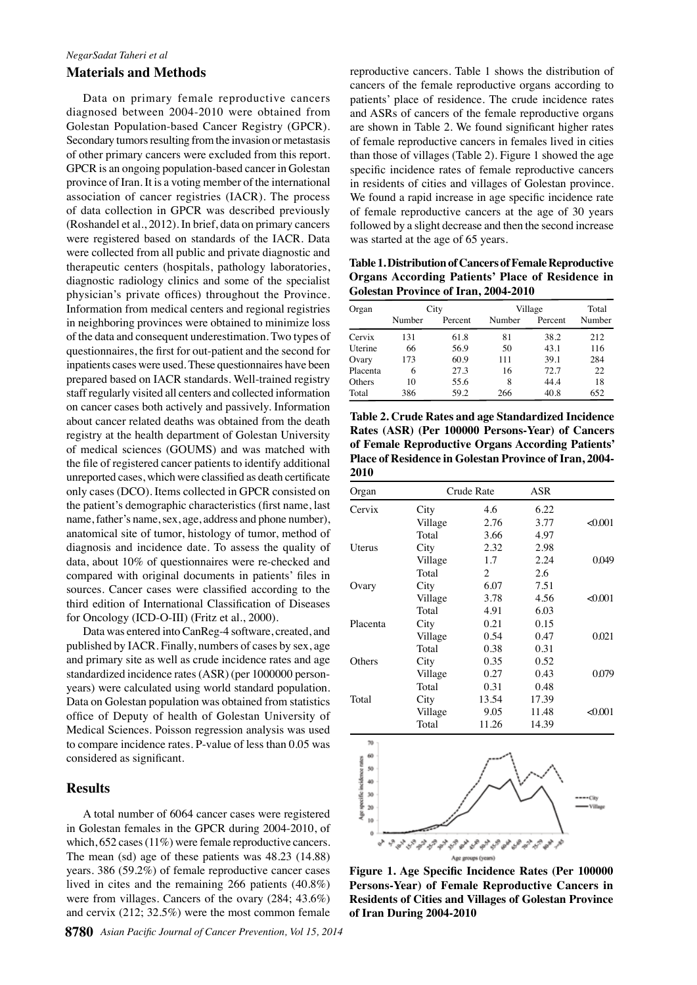#### *NegarSadat Taheri et al*

#### **Materials and Methods**

Data on primary female reproductive cancers diagnosed between 2004-2010 were obtained from Golestan Population-based Cancer Registry (GPCR). Secondary tumors resulting from the invasion or metastasis of other primary cancers were excluded from this report. GPCR is an ongoing population-based cancer in Golestan province of Iran. It is a voting member of the international association of cancer registries (IACR). The process of data collection in GPCR was described previously (Roshandel et al., 2012). In brief, data on primary cancers were registered based on standards of the IACR. Data were collected from all public and private diagnostic and therapeutic centers (hospitals, pathology laboratories, diagnostic radiology clinics and some of the specialist physician's private offices) throughout the Province. Information from medical centers and regional registries in neighboring provinces were obtained to minimize loss of the data and consequent underestimation. Two types of questionnaires, the first for out-patient and the second for inpatients cases were used. These questionnaires have been prepared based on IACR standards. Well-trained registry staff regularly visited all centers and collected information on cancer cases both actively and passively. Information about cancer related deaths was obtained from the death registry at the health department of Golestan University of medical sciences (GOUMS) and was matched with the file of registered cancer patients to identify additional unreported cases, which were classified as death certificate only cases (DCO). Items collected in GPCR consisted on the patient's demographic characteristics (first name, last name, father's name, sex, age, address and phone number), anatomical site of tumor, histology of tumor, method of diagnosis and incidence date. To assess the quality of data, about 10% of questionnaires were re-checked and compared with original documents in patients' files in sources. Cancer cases were classified according to the third edition of International Classification of Diseases for Oncology (ICD-O-III) (Fritz et al., 2000).

Data was entered into CanReg-4 software, created, and published by IACR. Finally, numbers of cases by sex, age and primary site as well as crude incidence rates and age standardized incidence rates (ASR) (per 1000000 personyears) were calculated using world standard population. Data on Golestan population was obtained from statistics office of Deputy of health of Golestan University of Medical Sciences. Poisson regression analysis was used to compare incidence rates. P-value of less than 0.05 was considered as significant.

#### **Results**

A total number of 6064 cancer cases were registered in Golestan females in the GPCR during 2004-2010, of which, 652 cases (11%) were female reproductive cancers. The mean (sd) age of these patients was 48.23 (14.88) years. 386 (59.2%) of female reproductive cancer cases lived in cites and the remaining 266 patients (40.8%) were from villages. Cancers of the ovary (284; 43.6%) and cervix (212; 32.5%) were the most common female

reproductive cancers. Table 1 shows the distribution of cancers of the female reproductive organs according to patients' place of residence. The crude incidence rates and ASRs of cancers of the female reproductive organs are shown in Table 2. We found significant higher rates of female reproductive cancers in females lived in cities than those of villages (Table 2). Figure 1 showed the age specific incidence rates of female reproductive cancers in residents of cities and villages of Golestan province. We found a rapid increase in age specific incidence rate of female reproductive cancers at the age of 30 years followed by a slight decrease and then the second increase was started at the age of 65 years.

**Table 1. Distribution of Cancers of Female Reproductive Organs According Patients' Place of Residence in Golestan Province of Iran, 2004-2010**

| Organ    | City   |         | Village |         | Total  |
|----------|--------|---------|---------|---------|--------|
|          | Number | Percent | Number  | Percent | Number |
| Cervix   | 131    | 61.8    | 81      | 38.2    | 212    |
| Uterine  | 66     | 56.9    | 50      | 43.1    | 116    |
| Ovary    | 173    | 60.9    | 111     | 39.1    | 284    |
| Placenta | 6      | 27.3    | 16      | 72.7    | 22.    |
| Others   | 10     | 55.6    | 8       | 44.4    | 18     |
| Total    | 386    | 59.2    | 266     | 40.8    | 652    |

**Table 2. Crude Rates and age Standardized Incidence Rates (ASR) (Per 100000 Persons-Year) of Cancers of Female Reproductive Organs According Patients' Place of Residence in Golestan Province of Iran, 2004- 2010**

| Organ                    | Crude Rate |                | ASR   |        |  |
|--------------------------|------------|----------------|-------|--------|--|
| Cervix                   | City       | 4.6            | 6.22  |        |  |
|                          | Village    | 2.76           | 3.77  | &0.001 |  |
|                          | Total      | 3.66           | 4.97  |        |  |
| <b>Uterus</b>            | City       | 2.32           | 2.98  |        |  |
|                          | Village    | 1.7            | 2.24  | 0.049  |  |
|                          | Total      | $\overline{c}$ | 2.6   |        |  |
| Ovary                    | City       | 6.07           | 7.51  |        |  |
|                          | Village    | 3.78           | 4.56  | &0.001 |  |
|                          | Total      | 4.91           | 6.03  |        |  |
| Placenta                 | City       | 0.21           | 0.15  |        |  |
|                          | Village    | 0.54           | 0.47  | 0.021  |  |
|                          | Total      | 0.38           | 0.31  |        |  |
| Others                   | City       | 0.35           | 0.52  |        |  |
|                          | Village    | 0.27           | 0.43  | 0.079  |  |
|                          | Total      | 0.31           | 0.48  |        |  |
| Total                    | City       | 13.54          | 17.39 |        |  |
|                          | Village    | 9.05           | 11.48 | &0.001 |  |
|                          | Total      | 11.26          | 14.39 |        |  |
| 70                       |            |                |       |        |  |
| 60<br>cidence rate<br>50 |            |                |       |        |  |
| 40                       |            |                |       |        |  |



**Figure 1. Age Specific Incidence Rates (Per 100000 Persons-Year) of Female Reproductive Cancers in Residents of Cities and Villages of Golestan Province of Iran During 2004-2010**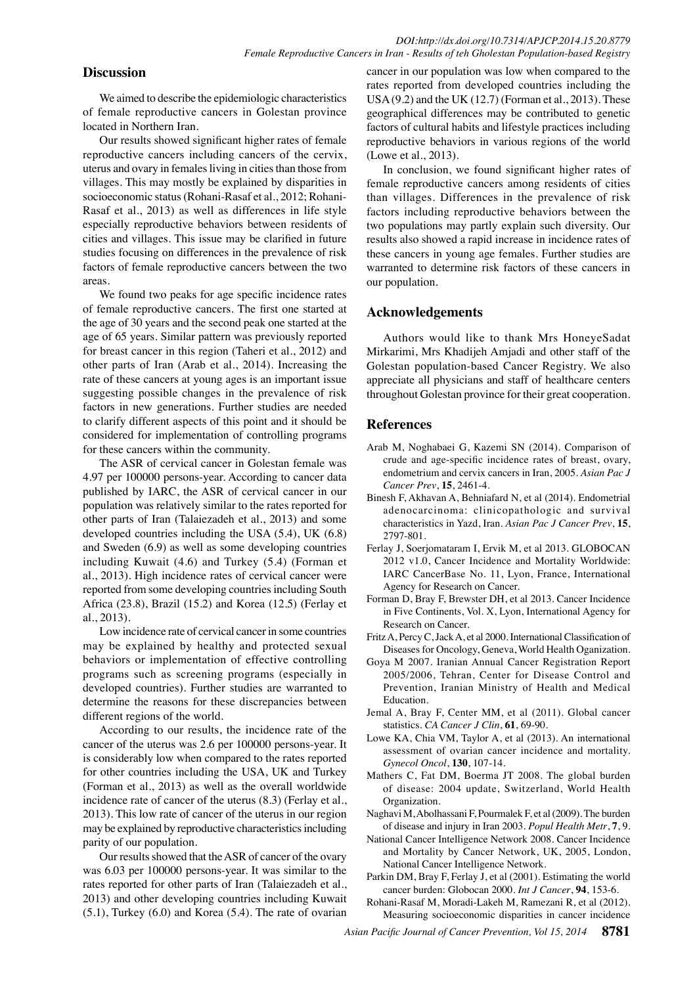#### **Discussion**

We aimed to describe the epidemiologic characteristics of female reproductive cancers in Golestan province located in Northern Iran.

Our results showed significant higher rates of female reproductive cancers including cancers of the cervix, uterus and ovary in females living in cities than those from villages. This may mostly be explained by disparities in socioeconomic status (Rohani-Rasaf et al., 2012; Rohani-Rasaf et al., 2013) as well as differences in life style especially reproductive behaviors between residents of cities and villages. This issue may be clarified in future studies focusing on differences in the prevalence of risk factors of female reproductive cancers between the two areas.

We found two peaks for age specific incidence rates of female reproductive cancers. The first one started at the age of 30 years and the second peak one started at the age of 65 years. Similar pattern was previously reported for breast cancer in this region (Taheri et al., 2012) and other parts of Iran (Arab et al., 2014). Increasing the rate of these cancers at young ages is an important issue suggesting possible changes in the prevalence of risk factors in new generations. Further studies are needed to clarify different aspects of this point and it should be considered for implementation of controlling programs for these cancers within the community.

The ASR of cervical cancer in Golestan female was 4.97 per 100000 persons-year. According to cancer data published by IARC, the ASR of cervical cancer in our population was relatively similar to the rates reported for other parts of Iran (Talaiezadeh et al., 2013) and some developed countries including the USA (5.4), UK (6.8) and Sweden (6.9) as well as some developing countries including Kuwait (4.6) and Turkey (5.4) (Forman et al., 2013). High incidence rates of cervical cancer were reported from some developing countries including South Africa (23.8), Brazil (15.2) and Korea (12.5) (Ferlay et al., 2013).

Low incidence rate of cervical cancer in some countries may be explained by healthy and protected sexual behaviors or implementation of effective controlling programs such as screening programs (especially in developed countries). Further studies are warranted to determine the reasons for these discrepancies between different regions of the world.

According to our results, the incidence rate of the cancer of the uterus was 2.6 per 100000 persons-year. It is considerably low when compared to the rates reported for other countries including the USA, UK and Turkey (Forman et al., 2013) as well as the overall worldwide incidence rate of cancer of the uterus (8.3) (Ferlay et al., 2013). This low rate of cancer of the uterus in our region may be explained by reproductive characteristics including parity of our population.

Our results showed that the ASR of cancer of the ovary was 6.03 per 100000 persons-year. It was similar to the rates reported for other parts of Iran (Talaiezadeh et al., 2013) and other developing countries including Kuwait (5.1), Turkey (6.0) and Korea (5.4). The rate of ovarian

cancer in our population was low when compared to the rates reported from developed countries including the USA (9.2) and the UK (12.7) (Forman et al., 2013). These geographical differences may be contributed to genetic factors of cultural habits and lifestyle practices including reproductive behaviors in various regions of the world (Lowe et al., 2013).

In conclusion, we found significant higher rates of female reproductive cancers among residents of cities than villages. Differences in the prevalence of risk factors including reproductive behaviors between the two populations may partly explain such diversity. Our results also showed a rapid increase in incidence rates of these cancers in young age females. Further studies are warranted to determine risk factors of these cancers in our population.

#### **Acknowledgements**

Authors would like to thank Mrs HoneyeSadat Mirkarimi, Mrs Khadijeh Amjadi and other staff of the Golestan population-based Cancer Registry. We also appreciate all physicians and staff of healthcare centers throughout Golestan province for their great cooperation.

#### **References**

- Arab M, Noghabaei G, Kazemi SN (2014). Comparison of crude and age-specific incidence rates of breast, ovary, endometrium and cervix cancers in Iran, 2005. *Asian Pac J Cancer Prev*, **15**, 2461-4.
- Binesh F, Akhavan A, Behniafard N, et al (2014). Endometrial adenocarcinoma: clinicopathologic and survival characteristics in Yazd, Iran. *Asian Pac J Cancer Prev*, **15**, 2797-801.
- Ferlay J, Soerjomataram I, Ervik M, et al 2013. GLOBOCAN 2012 v1.0, Cancer Incidence and Mortality Worldwide: IARC CancerBase No. 11, Lyon, France, International Agency for Research on Cancer.
- Forman D, Bray F, Brewster DH, et al 2013. Cancer Incidence in Five Continents, Vol. X, Lyon, International Agency for Research on Cancer.
- Fritz A, Percy C, Jack A, et al 2000. International Classification of Diseases for Oncology, Geneva, World Health Oganization.
- Goya M 2007. Iranian Annual Cancer Registration Report 2005/2006, Tehran, Center for Disease Control and Prevention, Iranian Ministry of Health and Medical Education.
- Jemal A, Bray F, Center MM, et al (2011). Global cancer statistics. *CA Cancer J Clin*, **61**, 69-90.
- Lowe KA, Chia VM, Taylor A, et al (2013). An international assessment of ovarian cancer incidence and mortality. *Gynecol Oncol*, **130**, 107-14.
- Mathers C, Fat DM, Boerma JT 2008. The global burden of disease: 2004 update, Switzerland, World Health Organization.
- Naghavi M, Abolhassani F, Pourmalek F, et al (2009). The burden of disease and injury in Iran 2003. *Popul Health Metr*, **7**, 9.
- National Cancer Intelligence Network 2008. Cancer Incidence and Mortality by Cancer Network, UK, 2005, London, National Cancer Intelligence Network.
- Parkin DM, Bray F, Ferlay J, et al (2001). Estimating the world cancer burden: Globocan 2000. *Int J Cancer*, **94**, 153-6.
- Rohani-Rasaf M, Moradi-Lakeh M, Ramezani R, et al (2012). Measuring socioeconomic disparities in cancer incidence